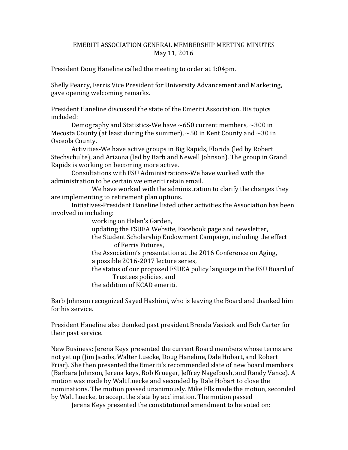## EMERITI ASSOCIATION GENERAL MEMBERSHIP MEETING MINUTES May 11, 2016

President Doug Haneline called the meeting to order at 1:04pm.

Shelly Pearcy, Ferris Vice President for University Advancement and Marketing, gave opening welcoming remarks.

President Haneline discussed the state of the Emeriti Association. His topics included:

Demography and Statistics-We have  $\sim 650$  current members,  $\sim 300$  in Mecosta County (at least during the summer),  $\sim$  50 in Kent County and  $\sim$  30 in Osceola County.

Activities-We have active groups in Big Rapids, Florida (led by Robert Stechschulte), and Arizona (led by Barb and Newell Johnson). The group in Grand Rapids is working on becoming more active.

Consultations with FSU Administrations-We have worked with the administration to be certain we emeriti retain email.

We have worked with the administration to clarify the changes they are implementing to retirement plan options.

Initiatives-President Haneline listed other activities the Association has been involved in including:

working on Helen's Garden, updating the FSUEA Website, Facebook page and newsletter, the Student Scholarship Endowment Campaign, including the effect of Ferris Futures, the Association's presentation at the 2016 Conference on Aging, a possible 2016-2017 lecture series, the status of our proposed FSUEA policy language in the FSU Board of Trustees policies, and

the addition of KCAD emeriti.

Barb Johnson recognized Sayed Hashimi, who is leaving the Board and thanked him for his service.

President Haneline also thanked past president Brenda Vasicek and Bob Carter for their past service.

New Business: Jerena Keys presented the current Board members whose terms are not yet up (Jim Jacobs, Walter Luecke, Doug Haneline, Dale Hobart, and Robert Friar). She then presented the Emeriti's recommended slate of new board members (Barbara Johnson, Jerena keys, Bob Krueger, Jeffrey Nagelbush, and Randy Vance). A motion was made by Walt Luecke and seconded by Dale Hobart to close the nominations. The motion passed unanimously. Mike Ells made the motion, seconded by Walt Luecke, to accept the slate by acclimation. The motion passed

Jerena Keys presented the constitutional amendment to be voted on: